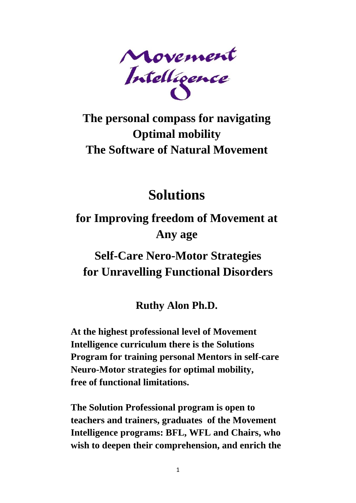

## **The personal compass for navigating Optimal mobility The Software of Natural Movement**

# **Solutions**

## **for Improving freedom of Movement at Any age**

### **Self-Care Nero-Motor Strategies for Unravelling Functional Disorders**

#### **Ruthy Alon Ph.D.**

**At the highest professional level of Movement Intelligence curriculum there is the Solutions Program for training personal Mentors in self-care Neuro-Motor strategies for optimal mobility, free of functional limitations.**

**The Solution Professional program is open to teachers and trainers, graduates of the Movement Intelligence programs: BFL, WFL and Chairs, who wish to deepen their comprehension, and enrich the**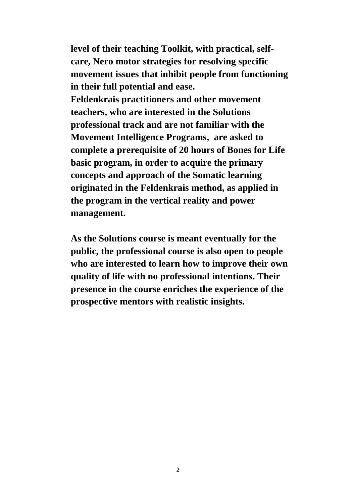**level of their teaching Toolkit, with practical, selfcare, Nero motor strategies for resolving specific movement issues that inhibit people from functioning in their full potential and ease. Feldenkrais practitioners and other movement teachers, who are interested in the Solutions professional track and are not familiar with the Movement Intelligence Programs, are asked to complete a prerequisite of 20 hours of Bones for Life basic program, in order to acquire the primary concepts and approach of the Somatic learning originated in the Feldenkrais method, as applied in the program in the vertical reality and power management.** 

**As the Solutions course is meant eventually for the public, the professional course is also open to people who are interested to learn how to improve their own quality of life with no professional intentions. Their presence in the course enriches the experience of the prospective mentors with realistic insights.**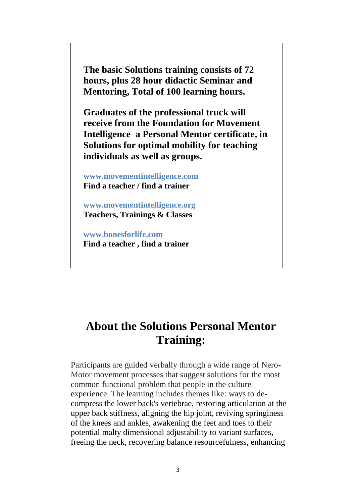**The basic Solutions training consists of 72 hours, plus 28 hour didactic Seminar and Mentoring, Total of 100 learning hours.**

**Graduates of the professional truck will receive from the Foundation for Movement Intelligence a Personal Mentor certificate, in Solutions for optimal mobility for teaching individuals as well as groups.** 

**www.movementintelligence.com Find a teacher / find a trainer**

**www.movementintelligence.org [Teachers, Trainings & Classes](http://movementintelligence.org/listing.html)**

**www.bonesforlife.com Find a teacher , find a trainer**

#### **About the Solutions Personal Mentor Training:**

Participants are guided verbally through a wide range of Nero-Motor movement processes that suggest solutions for the most common functional problem that people in the culture experience. The learning includes themes like: ways to decompress the lower back's vertebrae, restoring articulation at the upper back stiffness, aligning the hip joint, reviving springiness of the knees and ankles, awakening the feet and toes to their potential malty dimensional adjustability to variant surfaces, freeing the neck, recovering balance resourcefulness, enhancing